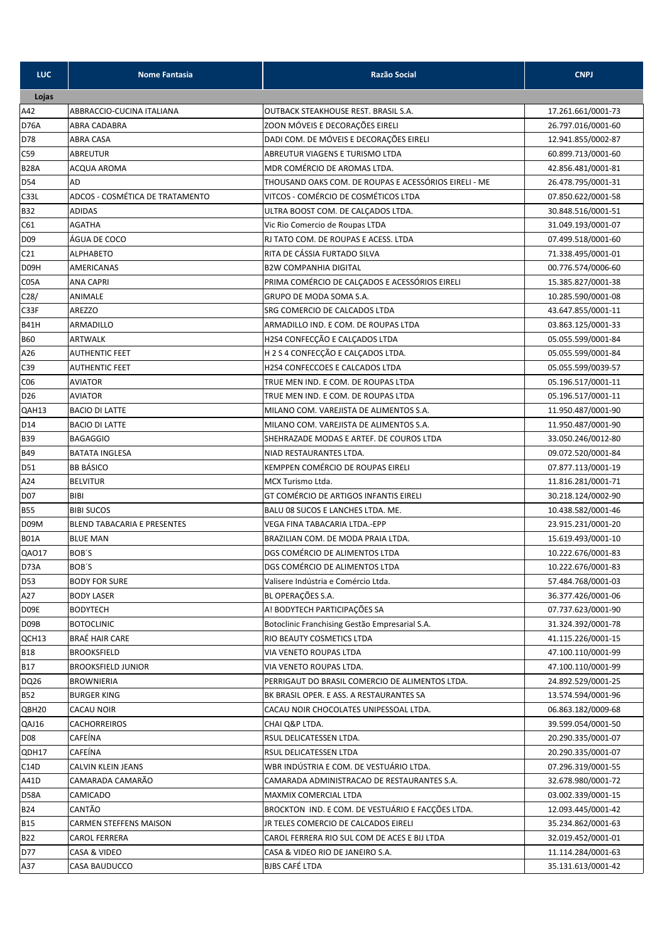| <b>LUC</b>        | <b>Nome Fantasia</b>               | <b>Razão Social</b>                                   | <b>CNPJ</b>        |
|-------------------|------------------------------------|-------------------------------------------------------|--------------------|
| Lojas             |                                    |                                                       |                    |
| A42               | ABBRACCIO-CUCINA ITALIANA          | OUTBACK STEAKHOUSE REST. BRASIL S.A.                  | 17.261.661/0001-73 |
| <b>D76A</b>       | ABRA CADABRA                       | ZOON MÓVEIS E DECORAÇÕES EIRELI                       | 26.797.016/0001-60 |
| D78               | ABRA CASA                          | DADI COM. DE MÓVEIS E DECORAÇÕES EIRELI               | 12.941.855/0002-87 |
| C59               | <b>ABREUTUR</b>                    | ABREUTUR VIAGENS E TURISMO LTDA                       | 60.899.713/0001-60 |
| <b>B28A</b>       | ACQUA AROMA                        | MDR COMÉRCIO DE AROMAS LTDA.                          | 42.856.481/0001-81 |
| D54               | AD                                 | THOUSAND OAKS COM. DE ROUPAS E ACESSÓRIOS EIRELI - ME | 26.478.795/0001-31 |
| C33L              | ADCOS - COSMÉTICA DE TRATAMENTO    | VITCOS - COMÉRCIO DE COSMÉTICOS LTDA                  | 07.850.622/0001-58 |
| <b>B32</b>        | <b>ADIDAS</b>                      | ULTRA BOOST COM. DE CALÇADOS LTDA.                    | 30.848.516/0001-51 |
| C61               | <b>AGATHA</b>                      | Vic Rio Comercio de Roupas LTDA                       | 31.049.193/0001-07 |
| D <sub>09</sub>   | ÁGUA DE COCO                       | RJ TATO COM. DE ROUPAS E ACESS. LTDA                  | 07.499.518/0001-60 |
| C <sub>21</sub>   | <b>ALPHABETO</b>                   | RITA DE CÁSSIA FURTADO SILVA                          | 71.338.495/0001-01 |
| D <sub>09</sub> H | AMERICANAS                         | <b>B2W COMPANHIA DIGITAL</b>                          | 00.776.574/0006-60 |
| C05A              | <b>ANA CAPRI</b>                   | PRIMA COMÉRCIO DE CALÇADOS E ACESSÓRIOS EIRELI        | 15.385.827/0001-38 |
| C <sub>28</sub>   | ANIMALE                            | GRUPO DE MODA SOMA S.A.                               | 10.285.590/0001-08 |
| C33F              | AREZZO                             | SRG COMERCIO DE CALCADOS LTDA                         | 43.647.855/0001-11 |
| <b>B41H</b>       | ARMADILLO                          | ARMADILLO IND. E COM. DE ROUPAS LTDA                  | 03.863.125/0001-33 |
| <b>B60</b>        | <b>ARTWALK</b>                     | H2S4 CONFECÇÃO E CALÇADOS LTDA                        | 05.055.599/0001-84 |
| A26               | <b>AUTHENTIC FEET</b>              | H 2 S 4 CONFECÇÃO E CALÇADOS LTDA.                    | 05.055.599/0001-84 |
| C39               | <b>AUTHENTIC FEET</b>              | <b>H2S4 CONFECCOES E CALCADOS LTDA</b>                | 05.055.599/0039-57 |
| C <sub>06</sub>   | <b>AVIATOR</b>                     | TRUE MEN IND. E COM. DE ROUPAS LTDA                   | 05.196.517/0001-11 |
| D <sub>26</sub>   | <b>AVIATOR</b>                     | TRUE MEN IND. E COM. DE ROUPAS LTDA                   | 05.196.517/0001-11 |
| QAH13             | <b>BACIO DI LATTE</b>              | MILANO COM. VAREJISTA DE ALIMENTOS S.A.               | 11.950.487/0001-90 |
| D14               | <b>BACIO DI LATTE</b>              | MILANO COM. VAREJISTA DE ALIMENTOS S.A.               | 11.950.487/0001-90 |
| <b>B39</b>        | <b>BAGAGGIO</b>                    | SHEHRAZADE MODAS E ARTEF. DE COUROS LTDA              | 33.050.246/0012-80 |
| <b>B49</b>        | <b>BATATA INGLESA</b>              | NIAD RESTAURANTES LTDA.                               | 09.072.520/0001-84 |
| D51               | <b>BB BÁSICO</b>                   | KEMPPEN COMÉRCIO DE ROUPAS EIRELI                     | 07.877.113/0001-19 |
| A24               | <b>BELVITUR</b>                    | MCX Turismo Ltda.                                     | 11.816.281/0001-71 |
| <b>D07</b>        | BIBI                               | GT COMÉRCIO DE ARTIGOS INFANTIS EIRELI                | 30.218.124/0002-90 |
| <b>B55</b>        | <b>BIBI SUCOS</b>                  | BALU 08 SUCOS E LANCHES LTDA. ME.                     | 10.438.582/0001-46 |
| D <sub>09</sub> M | <b>BLEND TABACARIA E PRESENTES</b> | VEGA FINA TABACARIA LTDA.-EPP                         | 23.915.231/0001-20 |
| <b>B01A</b>       | <b>BLUE MAN</b>                    | BRAZILIAN COM. DE MODA PRAIA LTDA.                    | 15.619.493/0001-10 |
| QA017             | BOB'S                              | DGS COMÉRCIO DE ALIMENTOS LTDA                        | 10.222.676/0001-83 |
| D73A              | BOB'S                              | DGS COMÉRCIO DE ALIMENTOS LTDA                        | 10.222.676/0001-83 |
| D53               | <b>BODY FOR SURE</b>               | Valisere Indústria e Comércio Ltda.                   | 57.484.768/0001-03 |
| A27               | <b>BODY LASER</b>                  | BL OPERAÇÕES S.A.                                     | 36.377.426/0001-06 |
| D09E              | <b>BODYTECH</b>                    | A! BODYTECH PARTICIPAÇÕES SA                          | 07.737.623/0001-90 |
| D <sub>09</sub> B | <b>BOTOCLINIC</b>                  | Botoclinic Franchising Gestão Empresarial S.A.        | 31.324.392/0001-78 |
| QCH <sub>13</sub> | BRAÉ HAIR CARE                     | RIO BEAUTY COSMETICS LTDA                             | 41.115.226/0001-15 |
| <b>B18</b>        | <b>BROOKSFIELD</b>                 | VIA VENETO ROUPAS LTDA                                | 47.100.110/0001-99 |
| <b>B17</b>        | <b>BROOKSFIELD JUNIOR</b>          | VIA VENETO ROUPAS LTDA.                               | 47.100.110/0001-99 |
| DQ26              | <b>BROWNIERIA</b>                  | PERRIGAUT DO BRASIL COMERCIO DE ALIMENTOS LTDA.       | 24.892.529/0001-25 |
| <b>B52</b>        | <b>BURGER KING</b>                 | BK BRASIL OPER. E ASS. A RESTAURANTES SA              | 13.574.594/0001-96 |
| QBH <sub>20</sub> | CACAU NOIR                         | CACAU NOIR CHOCOLATES UNIPESSOAL LTDA.                | 06.863.182/0009-68 |
| QAJ16             | CACHORREIROS                       | CHAI Q&P LTDA.                                        | 39.599.054/0001-50 |
| <b>D08</b>        | CAFEÍNA                            | RSUL DELICATESSEN LTDA.                               | 20.290.335/0001-07 |
| QDH17             | CAFEÍNA                            | RSUL DELICATESSEN LTDA                                | 20.290.335/0001-07 |
| C14D              | CALVIN KLEIN JEANS                 | WBR INDÚSTRIA E COM. DE VESTUÁRIO LTDA.               | 07.296.319/0001-55 |
| A41D              | CAMARADA CAMARÃO                   | CAMARADA ADMINISTRACAO DE RESTAURANTES S.A.           | 32.678.980/0001-72 |
| D58A              | CAMICADO                           | MAXMIX COMERCIAL LTDA                                 | 03.002.339/0001-15 |
| <b>B24</b>        | CANTÃO                             | BROCKTON IND. E COM. DE VESTUÁRIO E FACÇÕES LTDA.     | 12.093.445/0001-42 |
| <b>B15</b>        | CARMEN STEFFENS MAISON             | JR TELES COMERCIO DE CALCADOS EIRELI                  | 35.234.862/0001-63 |
| <b>B22</b>        | CAROL FERRERA                      | CAROL FERRERA RIO SUL COM DE ACES E BIJ LTDA          | 32.019.452/0001-01 |
| D77               | CASA & VIDEO                       | CASA & VIDEO RIO DE JANEIRO S.A.                      | 11.114.284/0001-63 |
| A37               | CASA BAUDUCCO                      | <b>BJBS CAFÉ LTDA</b>                                 | 35.131.613/0001-42 |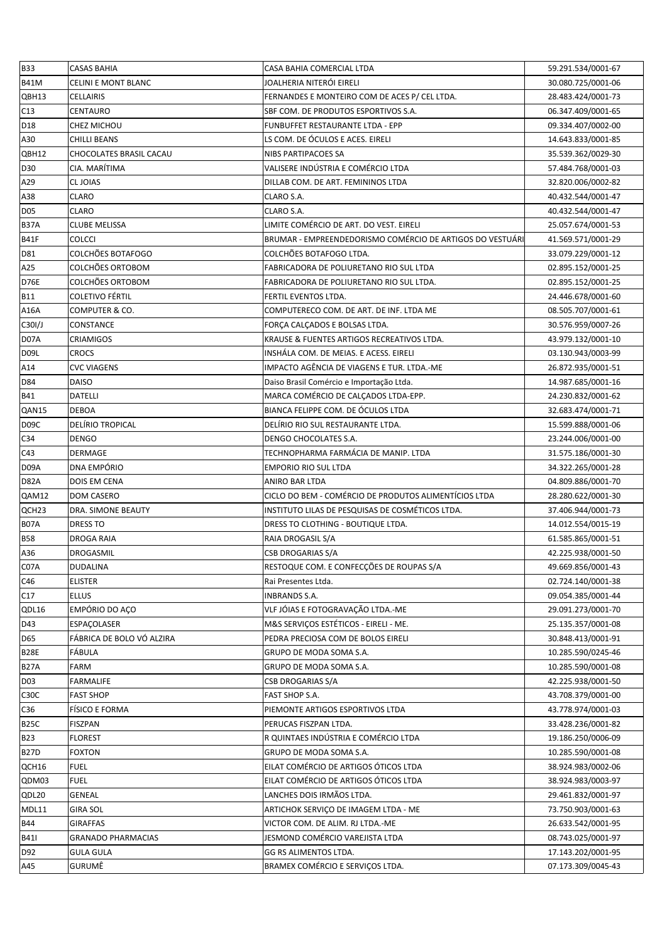| <b>B33</b>        | <b>CASAS BAHIA</b>        | CASA BAHIA COMERCIAL LTDA                                 | 59.291.534/0001-67 |
|-------------------|---------------------------|-----------------------------------------------------------|--------------------|
| <b>B41M</b>       | CELINI E MONT BLANC       | JOALHERIA NITERÓI EIRELI                                  | 30.080.725/0001-06 |
| QBH13             | <b>CELLAIRIS</b>          | FERNANDES E MONTEIRO COM DE ACES P/ CEL LTDA.             | 28.483.424/0001-73 |
| C13               | <b>CENTAURO</b>           | SBF COM. DE PRODUTOS ESPORTIVOS S.A.                      | 06.347.409/0001-65 |
| D18               | CHEZ MICHOU               | FUNBUFFET RESTAURANTE LTDA - EPP                          | 09.334.407/0002-00 |
| A30               | <b>CHILLI BEANS</b>       | LS COM. DE ÓCULOS E ACES. EIRELI                          | 14.643.833/0001-85 |
| QBH12             | CHOCOLATES BRASIL CACAU   | NIBS PARTIPACOES SA                                       | 35.539.362/0029-30 |
| D <sub>30</sub>   | CIA. MARÍTIMA             | VALISERE INDÚSTRIA E COMÉRCIO LTDA                        | 57.484.768/0001-03 |
| A29               | CL JOIAS                  | DILLAB COM. DE ART. FEMININOS LTDA                        | 32.820.006/0002-82 |
| A38               | <b>CLARO</b>              | CLARO S.A.                                                | 40.432.544/0001-47 |
| <b>D05</b>        | <b>CLARO</b>              | CLARO S.A.                                                | 40.432.544/0001-47 |
| <b>B37A</b>       | <b>CLUBE MELISSA</b>      | LIMITE COMÉRCIO DE ART. DO VEST. EIRELI                   | 25.057.674/0001-53 |
| <b>B41F</b>       | COLCCI                    | BRUMAR - EMPREENDEDORISMO COMÉRCIO DE ARTIGOS DO VESTUÁRI | 41.569.571/0001-29 |
| D81               | COLCHÕES BOTAFOGO         | COLCHÕES BOTAFOGO LTDA.                                   | 33.079.229/0001-12 |
| A25               | COLCHÕES ORTOBOM          | FABRICADORA DE POLIURETANO RIO SUL LTDA                   | 02.895.152/0001-25 |
| <b>D76E</b>       | COLCHÕES ORTOBOM          | FABRICADORA DE POLIURETANO RIO SUL LTDA.                  | 02.895.152/0001-25 |
| <b>B11</b>        | <b>COLETIVO FÉRTIL</b>    | FERTIL EVENTOS LTDA.                                      | 24.446.678/0001-60 |
| A16A              | COMPUTER & CO.            | COMPUTERECO COM. DE ART. DE INF. LTDA ME                  | 08.505.707/0001-61 |
| C30I/J            | CONSTANCE                 | FORÇA CALÇADOS E BOLSAS LTDA.                             | 30.576.959/0007-26 |
| D07A              | <b>CRIAMIGOS</b>          | KRAUSE & FUENTES ARTIGOS RECREATIVOS LTDA.                | 43.979.132/0001-10 |
| D09L              | <b>CROCS</b>              | INSHÁLA COM. DE MEIAS. E ACESS. EIRELI                    | 03.130.943/0003-99 |
| A14               | <b>CVC VIAGENS</b>        | IMPACTO AGÊNCIA DE VIAGENS E TUR. LTDA.-ME                | 26.872.935/0001-51 |
| D84               | <b>DAISO</b>              | Daiso Brasil Comércio e Importação Ltda.                  | 14.987.685/0001-16 |
| <b>B41</b>        | DATELLI                   | MARCA COMÉRCIO DE CALÇADOS LTDA-EPP.                      | 24.230.832/0001-62 |
| QAN15             | <b>DEBOA</b>              | BIANCA FELIPPE COM. DE ÓCULOS LTDA                        | 32.683.474/0001-71 |
| D <sub>0</sub> 9C | DELÍRIO TROPICAL          | DELIRIO RIO SUL RESTAURANTE LTDA.                         | 15.599.888/0001-06 |
| C34               | <b>DENGO</b>              | DENGO CHOCOLATES S.A.                                     | 23.244.006/0001-00 |
| C43               | <b>DERMAGE</b>            | TECHNOPHARMA FARMÁCIA DE MANIP. LTDA                      | 31.575.186/0001-30 |
| D <sub>09</sub> A | <b>DNA EMPÓRIO</b>        | <b>EMPORIO RIO SUL LTDA</b>                               | 34.322.265/0001-28 |
| <b>D82A</b>       | <b>DOIS EM CENA</b>       | ANIRO BAR LTDA                                            | 04.809.886/0001-70 |
| QAM12             | <b>DOM CASERO</b>         | CICLO DO BEM - COMÉRCIO DE PRODUTOS ALIMENTÍCIOS LTDA     | 28.280.622/0001-30 |
| QCH23             | DRA. SIMONE BEAUTY        | INSTITUTO LILAS DE PESQUISAS DE COSMÉTICOS LTDA.          | 37.406.944/0001-73 |
| <b>B07A</b>       | <b>DRESS TO</b>           | DRESS TO CLOTHING - BOUTIQUE LTDA.                        | 14.012.554/0015-19 |
| <b>B58</b>        | DROGA RAIA                | RAIA DROGASIL S/A                                         | 61.585.865/0001-51 |
| A36               | DROGASMIL                 | <b>CSB DROGARIAS S/A</b>                                  | 42.225.938/0001-50 |
| C07A              | DUDALINA                  | RESTOQUE COM. E CONFECÇÕES DE ROUPAS S/A                  | 49.669.856/0001-43 |
| C46               | <b>ELISTER</b>            | Rai Presentes Ltda.                                       | 02.724.140/0001-38 |
| C17               | <b>ELLUS</b>              | <b>INBRANDS S.A.</b>                                      | 09.054.385/0001-44 |
| QDL16             | EMPÓRIO DO AÇO            | VLF JÓIAS E FOTOGRAVAÇÃO LTDA.-ME                         | 29.091.273/0001-70 |
| D43               | ESPAÇOLASER               | M&S SERVIÇOS ESTÉTICOS - EIRELI - ME.                     | 25.135.357/0001-08 |
| D65               | FÁBRICA DE BOLO VÓ ALZIRA | PEDRA PRECIOSA COM DE BOLOS EIRELI                        | 30.848.413/0001-91 |
| <b>B28E</b>       | FÁBULA                    | GRUPO DE MODA SOMA S.A.                                   | 10.285.590/0245-46 |
| <b>B27A</b>       | FARM                      | GRUPO DE MODA SOMA S.A.                                   | 10.285.590/0001-08 |
| <b>D03</b>        | <b>FARMALIFE</b>          | CSB DROGARIAS S/A                                         | 42.225.938/0001-50 |
| C <sub>3</sub> OC | <b>FAST SHOP</b>          | FAST SHOP S.A.                                            | 43.708.379/0001-00 |
| C36               | <b>FÍSICO E FORMA</b>     | PIEMONTE ARTIGOS ESPORTIVOS LTDA                          | 43.778.974/0001-03 |
| <b>B25C</b>       | <b>FISZPAN</b>            | PERUCAS FISZPAN LTDA.                                     | 33.428.236/0001-82 |
| <b>B23</b>        | <b>FLOREST</b>            | R QUINTAES INDÚSTRIA E COMÉRCIO LTDA                      | 19.186.250/0006-09 |
| <b>B27D</b>       | <b>FOXTON</b>             | GRUPO DE MODA SOMA S.A.                                   | 10.285.590/0001-08 |
| QCH16             | <b>FUEL</b>               | EILAT COMÉRCIO DE ARTIGOS ÓTICOS LTDA                     | 38.924.983/0002-06 |
| QDM03             | <b>FUEL</b>               | EILAT COMÉRCIO DE ARTIGOS ÓTICOS LTDA                     | 38.924.983/0003-97 |
| QDL20             | GENEAL                    | LANCHES DOIS IRMÃOS LTDA.                                 | 29.461.832/0001-97 |
| MDL11             | <b>GIRA SOL</b>           | ARTICHOK SERVIÇO DE IMAGEM LTDA - ME                      | 73.750.903/0001-63 |
| <b>B44</b>        | <b>GIRAFFAS</b>           | VICTOR COM. DE ALIM. RJ LTDA.-ME                          | 26.633.542/0001-95 |
| <b>B411</b>       | <b>GRANADO PHARMACIAS</b> | JESMOND COMÉRCIO VAREJISTA LTDA                           | 08.743.025/0001-97 |
| D92               | <b>GULA GULA</b>          | GG RS ALIMENTOS LTDA.                                     | 17.143.202/0001-95 |
| A45               | GURUMÊ                    | BRAMEX COMÉRCIO E SERVIÇOS LTDA.                          | 07.173.309/0045-43 |
|                   |                           |                                                           |                    |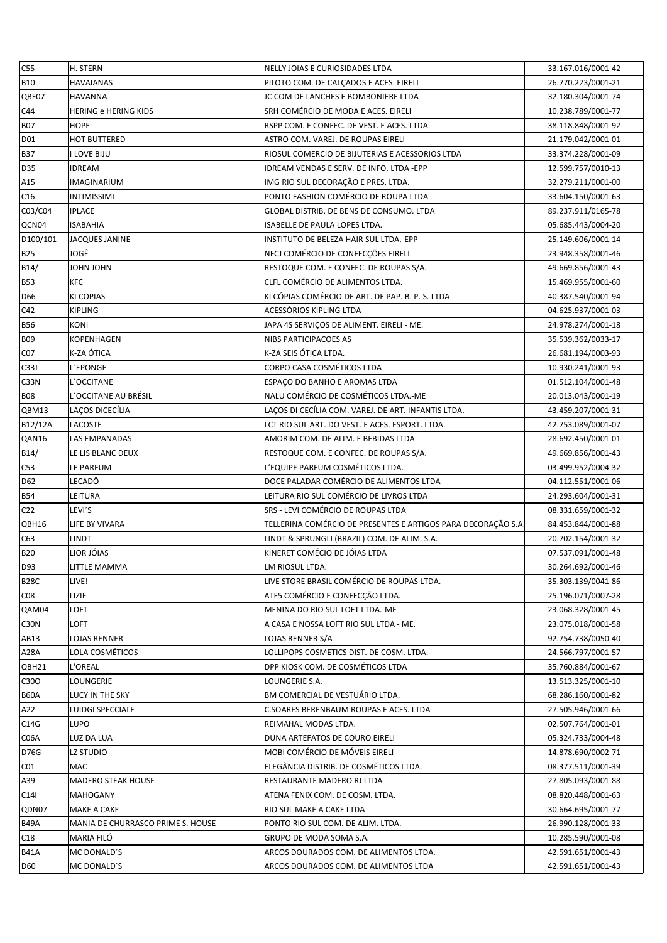| C55               | H. STERN                          | NELLY JOIAS E CURIOSIDADES LTDA                              | 33.167.016/0001-42 |
|-------------------|-----------------------------------|--------------------------------------------------------------|--------------------|
| <b>B10</b>        | HAVAIANAS                         | PILOTO COM. DE CALÇADOS E ACES. EIRELI                       | 26.770.223/0001-21 |
| QBF07             | <b>HAVANNA</b>                    | JC COM DE LANCHES E BOMBONIERE LTDA                          | 32.180.304/0001-74 |
| C44               | <b>HERING e HERING KIDS</b>       | SRH COMÉRCIO DE MODA E ACES. EIRELI                          | 10.238.789/0001-77 |
| <b>B07</b>        | <b>HOPE</b>                       | RSPP COM. E CONFEC. DE VEST. E ACES. LTDA.                   | 38.118.848/0001-92 |
| D <sub>01</sub>   | HOT BUTTERED                      | ASTRO COM. VAREJ. DE ROUPAS EIRELI                           | 21.179.042/0001-01 |
| <b>B37</b>        | I LOVE BIJU                       | RIOSUL COMERCIO DE BIJUTERIAS E ACESSORIOS LTDA              | 33.374.228/0001-09 |
| D35               | IDREAM                            | IDREAM VENDAS E SERV. DE INFO. LTDA -EPP                     | 12.599.757/0010-13 |
| A15               | IMAGINARIUM                       | IMG RIO SUL DECORAÇÃO E PRES. LTDA.                          | 32.279.211/0001-00 |
| C16               | <b>INTIMISSIMI</b>                | PONTO FASHION COMÉRCIO DE ROUPA LTDA                         | 33.604.150/0001-63 |
| C03/C04           | <b>IPLACE</b>                     | GLOBAL DISTRIB. DE BENS DE CONSUMO. LTDA                     | 89.237.911/0165-78 |
| QCN04             | <b>ISABAHIA</b>                   | ISABELLE DE PAULA LOPES LTDA.                                | 05.685.443/0004-20 |
| D100/101          | JACQUES JANINE                    | INSTITUTO DE BELEZA HAIR SUL LTDA.-EPP                       | 25.149.606/0001-14 |
| <b>B25</b>        | JOGÊ                              | NFCJ COMÉRCIO DE CONFECÇÕES EIRELI                           | 23.948.358/0001-46 |
| B14/              | <b>UHOL NHOL</b>                  | RESTOQUE COM. E CONFEC. DE ROUPAS S/A.                       | 49.669.856/0001-43 |
| <b>B53</b>        | <b>KFC</b>                        | CLFL COMÉRCIO DE ALIMENTOS LTDA.                             | 15.469.955/0001-60 |
| D66               | <b>KI COPIAS</b>                  | KI CÓPIAS COMÉRCIO DE ART. DE PAP. B. P. S. LTDA             | 40.387.540/0001-94 |
| C42               | KIPLING                           | ACESSÓRIOS KIPLING LTDA                                      | 04.625.937/0001-03 |
| <b>B56</b>        | KONI                              | JAPA 4S SERVIÇOS DE ALIMENT. EIRELI - ME.                    | 24.978.274/0001-18 |
| <b>B09</b>        | <b>KOPENHAGEN</b>                 | NIBS PARTICIPACOES AS                                        | 35.539.362/0033-17 |
| CO <sub>7</sub>   | K-ZA ÓTICA                        | K-ZA SEIS ÓTICA LTDA.                                        | 26.681.194/0003-93 |
| C33J              | <b>L'EPONGE</b>                   | CORPO CASA COSMÉTICOS LTDA                                   | 10.930.241/0001-93 |
| C33N              | L'OCCITANE                        | ESPAÇO DO BANHO E AROMAS LTDA                                | 01.512.104/0001-48 |
| <b>B08</b>        | L'OCCITANE AU BRÉSIL              | NALU COMÉRCIO DE COSMÉTICOS LTDA.-ME                         | 20.013.043/0001-19 |
| QBM13             | LAÇOS DICECÍLIA                   | LAÇOS DI CECÍLIA COM. VAREJ. DE ART. INFANTIS LTDA.          | 43.459.207/0001-31 |
| B12/12A           | LACOSTE                           | LCT RIO SUL ART. DO VEST. E ACES. ESPORT. LTDA.              | 42.753.089/0001-07 |
| QAN16             | LAS EMPANADAS                     | AMORIM COM. DE ALIM. E BEBIDAS LTDA                          | 28.692.450/0001-01 |
| B14/              | LE LIS BLANC DEUX                 | RESTOQUE COM. E CONFEC. DE ROUPAS S/A.                       | 49.669.856/0001-43 |
| C53               | LE PARFUM                         | L'EQUIPE PARFUM COSMÉTICOS LTDA.                             | 03.499.952/0004-32 |
| D62               | LECADÔ                            | DOCE PALADAR COMÉRCIO DE ALIMENTOS LTDA                      | 04.112.551/0001-06 |
| <b>B54</b>        | LEITURA                           | LEITURA RIO SUL COMÉRCIO DE LIVROS LTDA                      | 24.293.604/0001-31 |
| C <sub>22</sub>   | LEVI'S                            | SRS - LEVI COMÉRCIO DE ROUPAS LTDA                           | 08.331.659/0001-32 |
| QBH16             | LIFE BY VIVARA                    | TELLERINA COMÉRCIO DE PRESENTES E ARTIGOS PARA DECORAÇÃO S.A | 84.453.844/0001-88 |
| C63               | LINDT                             | LINDT & SPRUNGLI (BRAZIL) COM. DE ALIM. S.A.                 | 20.702.154/0001-32 |
| <b>B20</b>        | LIOR JÓIAS                        | KINERET COMÉCIO DE JÓIAS LTDA                                | 07.537.091/0001-48 |
| D93               | LITTLE MAMMA                      | LM RIOSUL LTDA.                                              | 30.264.692/0001-46 |
| <b>B28C</b>       | LIVE!                             | LIVE STORE BRASIL COMÉRCIO DE ROUPAS LTDA.                   | 35.303.139/0041-86 |
| CO8               | LIZIE                             | ATF5 COMÉRCIO E CONFECÇÃO LTDA.                              | 25.196.071/0007-28 |
| QAM04             | LOFT                              | MENINA DO RIO SUL LOFT LTDA.-ME                              | 23.068.328/0001-45 |
| C <sub>3</sub> ON | LOFT                              | A CASA E NOSSA LOFT RIO SUL LTDA - ME.                       | 23.075.018/0001-58 |
| AB13              | LOJAS RENNER                      | LOJAS RENNER S/A                                             | 92.754.738/0050-40 |
| A28A              | LOLA COSMÉTICOS                   | LOLLIPOPS COSMETICS DIST. DE COSM. LTDA.                     | 24.566.797/0001-57 |
| QBH21             | L'OREAL                           | DPP KIOSK COM. DE COSMÉTICOS LTDA                            | 35.760.884/0001-67 |
| C30O              | LOUNGERIE                         | LOUNGERIE S.A.                                               | 13.513.325/0001-10 |
| <b>B60A</b>       | LUCY IN THE SKY                   | BM COMERCIAL DE VESTUÁRIO LTDA.                              | 68.286.160/0001-82 |
| A22               | LUIDGI SPECCIALE                  | C.SOARES BERENBAUM ROUPAS E ACES. LTDA                       | 27.505.946/0001-66 |
| C14G              | LUPO                              | REIMAHAL MODAS LTDA.                                         | 02.507.764/0001-01 |
| C06A              | LUZ DA LUA                        | DUNA ARTEFATOS DE COURO EIRELI                               | 05.324.733/0004-48 |
| D76G              | lz studio                         | MOBI COMÉRCIO DE MÓVEIS EIRELI                               | 14.878.690/0002-71 |
| CO1               | <b>MAC</b>                        | ELEGÂNCIA DISTRIB. DE COSMÉTICOS LTDA.                       | 08.377.511/0001-39 |
| A39               | <b>MADERO STEAK HOUSE</b>         | RESTAURANTE MADERO RJ LTDA                                   | 27.805.093/0001-88 |
| C <sub>14</sub>   | <b>MAHOGANY</b>                   | ATENA FENIX COM. DE COSM. LTDA.                              | 08.820.448/0001-63 |
| QDN07             | MAKE A CAKE                       | RIO SUL MAKE A CAKE LTDA                                     | 30.664.695/0001-77 |
| <b>B49A</b>       | MANIA DE CHURRASCO PRIME S. HOUSE | PONTO RIO SUL COM. DE ALIM. LTDA.                            | 26.990.128/0001-33 |
| C18               | MARIA FILÓ                        | GRUPO DE MODA SOMA S.A.                                      | 10.285.590/0001-08 |
| <b>B41A</b>       | MC DONALD'S                       | ARCOS DOURADOS COM. DE ALIMENTOS LTDA.                       | 42.591.651/0001-43 |
| D60               | MC DONALD'S                       | ARCOS DOURADOS COM. DE ALIMENTOS LTDA                        | 42.591.651/0001-43 |
|                   |                                   |                                                              |                    |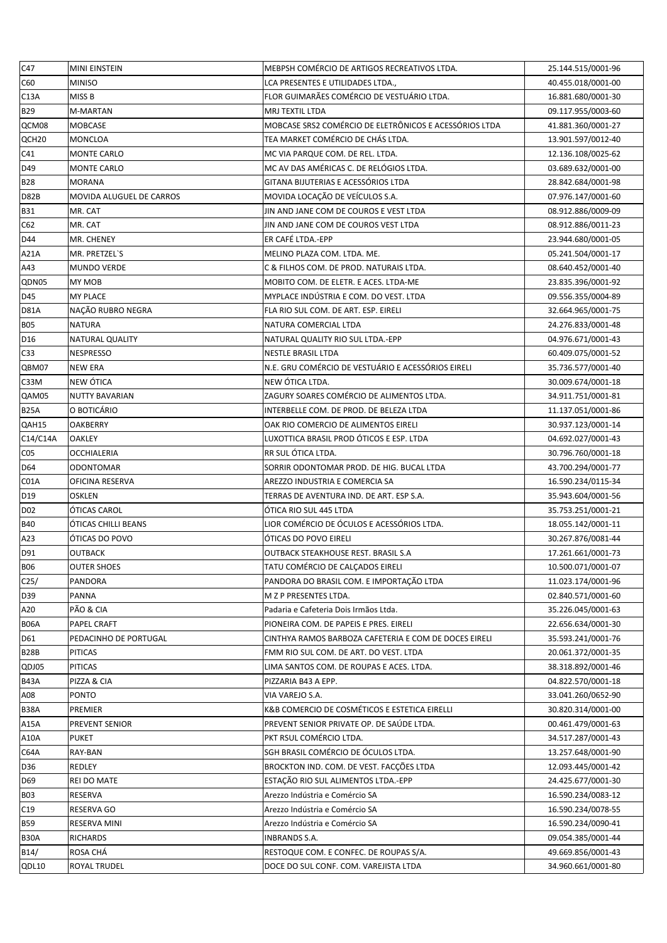| C47                 | <b>MINI EINSTEIN</b>        | MEBPSH COMÉRCIO DE ARTIGOS RECREATIVOS LTDA.            | 25.144.515/0001-96                       |
|---------------------|-----------------------------|---------------------------------------------------------|------------------------------------------|
| C60                 | <b>MINISO</b>               | LCA PRESENTES E UTILIDADES LTDA.,                       | 40.455.018/0001-00                       |
| C13A                | MISS B                      | FLOR GUIMARÃES COMÉRCIO DE VESTUÁRIO LTDA.              | 16.881.680/0001-30                       |
| <b>B29</b>          | M-MARTAN                    | MRJ TEXTIL LTDA                                         | 09.117.955/0003-60                       |
| QCM08               | <b>MOBCASE</b>              | MOBCASE SRS2 COMÉRCIO DE ELETRÔNICOS E ACESSÓRIOS LTDA  | 41.881.360/0001-27                       |
| QCH <sub>20</sub>   | <b>MONCLOA</b>              | TEA MARKET COMÉRCIO DE CHÁS LTDA.                       | 13.901.597/0012-40                       |
| C <sub>41</sub>     | <b>MONTE CARLO</b>          | MC VIA PARQUE COM. DE REL. LTDA.                        | 12.136.108/0025-62                       |
| D49                 | <b>MONTE CARLO</b>          | MC AV DAS AMÉRICAS C. DE RELÓGIOS LTDA.                 | 03.689.632/0001-00                       |
| <b>B28</b>          | <b>MORANA</b>               | GITANA BIJUTERIAS E ACESSÓRIOS LTDA                     | 28.842.684/0001-98                       |
| D82B                | MOVIDA ALUGUEL DE CARROS    | MOVIDA LOCAÇÃO DE VEÍCULOS S.A.                         | 07.976.147/0001-60                       |
| <b>B31</b>          | MR. CAT                     | JIN AND JANE COM DE COUROS E VEST LTDA                  | 08.912.886/0009-09                       |
| C62                 | MR. CAT                     | JIN AND JANE COM DE COUROS VEST LTDA                    | 08.912.886/0011-23                       |
| D44                 | MR. CHENEY                  | ER CAFÉ LTDA.-EPP                                       | 23.944.680/0001-05                       |
| A21A                | MR. PRETZEL'S               | MELINO PLAZA COM. LTDA. ME.                             | 05.241.504/0001-17                       |
| A43                 | <b>MUNDO VERDE</b>          | C & FILHOS COM. DE PROD. NATURAIS LTDA.                 | 08.640.452/0001-40                       |
| QDN05               | <b>MY MOB</b>               | MOBITO COM. DE ELETR. E ACES. LTDA-ME                   | 23.835.396/0001-92                       |
| D45                 | <b>MY PLACE</b>             | MYPLACE INDÚSTRIA E COM. DO VEST. LTDA                  | 09.556.355/0004-89                       |
| <b>D81A</b>         | NAÇÃO RUBRO NEGRA           | FLA RIO SUL COM. DE ART. ESP. EIRELI                    | 32.664.965/0001-75                       |
| <b>B05</b>          | <b>NATURA</b>               | NATURA COMERCIAL LTDA                                   | 24.276.833/0001-48                       |
| D <sub>16</sub>     | <b>NATURAL QUALITY</b>      | NATURAL QUALITY RIO SUL LTDA.-EPP                       | 04.976.671/0001-43                       |
| C <sub>33</sub>     | <b>NESPRESSO</b>            | <b>NESTLE BRASIL LTDA</b>                               | 60.409.075/0001-52                       |
| QBM07               | <b>NEW ERA</b>              | N.E. GRU COMÉRCIO DE VESTUÁRIO E ACESSÓRIOS EIRELI      | 35.736.577/0001-40                       |
| C33M                | NEW ÓTICA                   | NEW ÓTICA LTDA.                                         | 30.009.674/0001-18                       |
| QAM05               | <b>NUTTY BAVARIAN</b>       | ZAGURY SOARES COMÉRCIO DE ALIMENTOS LTDA.               | 34.911.751/0001-81                       |
| <b>B25A</b>         | O BOTICÁRIO                 | INTERBELLE COM. DE PROD. DE BELEZA LTDA                 | 11.137.051/0001-86                       |
| QAH15               | <b>OAKBERRY</b>             | OAK RIO COMERCIO DE ALIMENTOS EIRELI                    | 30.937.123/0001-14                       |
| C14/C14A            | <b>OAKLEY</b>               | LUXOTTICA BRASIL PROD ÓTICOS E ESP. LTDA                | 04.692.027/0001-43                       |
| CO <sub>5</sub>     | <b>OCCHIALERIA</b>          | RR SUL ÓTICA LTDA.                                      | 30.796.760/0001-18                       |
| D <sub>64</sub>     | <b>ODONTOMAR</b>            | SORRIR ODONTOMAR PROD. DE HIG. BUCAL LTDA               | 43.700.294/0001-77                       |
| C01A                | <b>OFICINA RESERVA</b>      | AREZZO INDUSTRIA E COMERCIA SA                          | 16.590.234/0115-34                       |
| D19                 | <b>OSKLEN</b>               | TERRAS DE AVENTURA IND. DE ART. ESP S.A.                | 35.943.604/0001-56                       |
| D <sub>02</sub>     | ÓTICAS CAROL                | ÓTICA RIO SUL 445 LTDA                                  | 35.753.251/0001-21                       |
| <b>B40</b>          | ÓTICAS CHILLI BEANS         | LIOR COMÉRCIO DE ÓCULOS E ACESSÓRIOS LTDA.              | 18.055.142/0001-11                       |
| A23                 | ÓTICAS DO POVO              | ÓTICAS DO POVO EIRELI                                   | 30.267.876/0081-44                       |
| D91                 | <b>OUTBACK</b>              | OUTBACK STEAKHOUSE REST. BRASIL S.A                     | 17.261.661/0001-73                       |
| <b>B06</b>          | <b>OUTER SHOES</b>          | TATU COMÉRCIO DE CALÇADOS EIRELI                        | 10.500.071/0001-07                       |
| C <sub>25</sub> /   | <b>PANDORA</b>              | PANDORA DO BRASIL COM. E IMPORTAÇÃO LTDA                | 11.023.174/0001-96                       |
| D39                 | <b>PANNA</b>                | M Z P PRESENTES LTDA.                                   | 02.840.571/0001-60                       |
| A20                 | PÃO & CIA                   | Padaria e Cafeteria Dois Irmãos Ltda.                   | 35.226.045/0001-63                       |
| <b>B06A</b>         | <b>PAPEL CRAFT</b>          | PIONEIRA COM. DE PAPEIS E PRES. EIRELI                  | 22.656.634/0001-30                       |
| D61                 | PEDACINHO DE PORTUGAL       | CINTHYA RAMOS BARBOZA CAFETERIA E COM DE DOCES EIRELI   | 35.593.241/0001-76                       |
| <b>B28B</b>         | <b>PITICAS</b>              | FMM RIO SUL COM. DE ART. DO VEST. LTDA                  | 20.061.372/0001-35                       |
| QDJ05               | <b>PITICAS</b>              | LIMA SANTOS COM. DE ROUPAS E ACES. LTDA.                | 38.318.892/0001-46                       |
| <b>B43A</b>         | PIZZA & CIA                 | PIZZARIA B43 A EPP.                                     | 04.822.570/0001-18                       |
| A08                 | <b>PONTO</b>                | VIA VAREJO S.A.                                         | 33.041.260/0652-90                       |
| <b>B38A</b>         | PREMIER                     | K&B COMERCIO DE COSMÉTICOS E ESTETICA EIRELLI           | 30.820.314/0001-00                       |
| A15A                | <b>PREVENT SENIOR</b>       | PREVENT SENIOR PRIVATE OP. DE SAÚDE LTDA.               | 00.461.479/0001-63                       |
| A10A                | <b>PUKET</b>                | PKT RSUL COMÉRCIO LTDA.                                 | 34.517.287/0001-43                       |
| C64A                | RAY-BAN                     | SGH BRASIL COMÉRCIO DE ÓCULOS LTDA.                     | 13.257.648/0001-90                       |
| D36                 | REDLEY                      | BROCKTON IND. COM. DE VEST. FACÇÕES LTDA                | 12.093.445/0001-42                       |
| D <sub>69</sub>     | REI DO MATE                 | ESTAÇÃO RIO SUL ALIMENTOS LTDA.-EPP                     | 24.425.677/0001-30                       |
| <b>B03</b>          | RESERVA                     | Arezzo Indústria e Comércio SA                          | 16.590.234/0083-12                       |
| C <sub>19</sub>     | RESERVA GO                  | Arezzo Indústria e Comércio SA                          | 16.590.234/0078-55                       |
| <b>B59</b>          | RESERVA MINI                | Arezzo Indústria e Comércio SA                          | 16.590.234/0090-41                       |
| <b>B30A</b><br>B14/ | <b>RICHARDS</b><br>ROSA CHÁ | INBRANDS S.A.<br>RESTOQUE COM. E CONFEC. DE ROUPAS S/A. | 09.054.385/0001-44<br>49.669.856/0001-43 |
|                     | ROYAL TRUDEL                | DOCE DO SUL CONF. COM. VAREJISTA LTDA                   | 34.960.661/0001-80                       |
| QDL10               |                             |                                                         |                                          |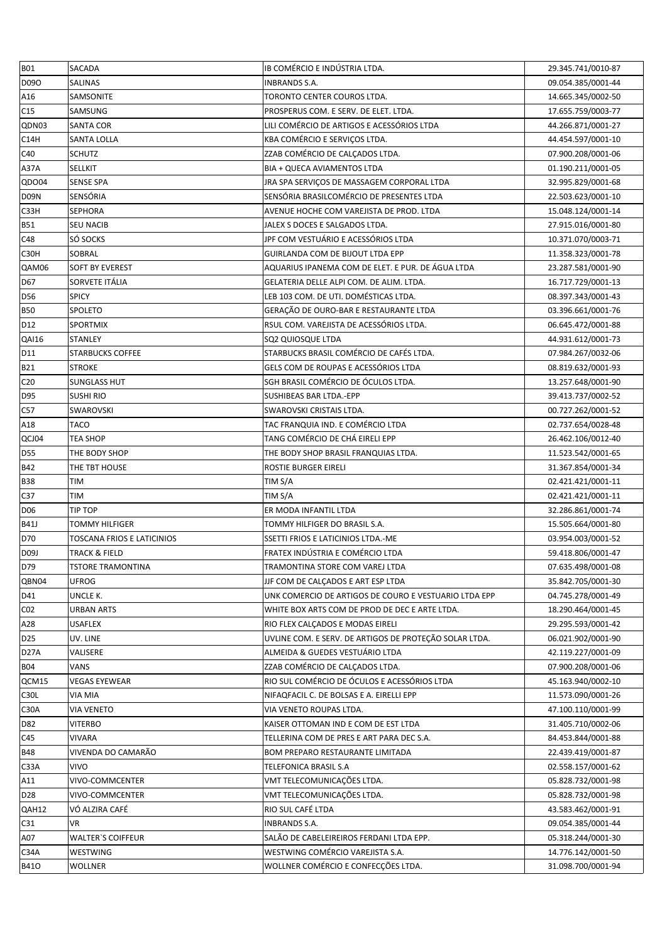| <b>B01</b>        | SACADA                     | IB COMÉRCIO E INDÚSTRIA LTDA.                          | 29.345.741/0010-87 |
|-------------------|----------------------------|--------------------------------------------------------|--------------------|
| D090              | <b>SALINAS</b>             | <b>INBRANDS S.A.</b>                                   | 09.054.385/0001-44 |
| A16               | SAMSONITE                  | TORONTO CENTER COUROS LTDA.                            | 14.665.345/0002-50 |
| C15               | SAMSUNG                    | PROSPERUS COM. E SERV. DE ELET. LTDA.                  | 17.655.759/0003-77 |
| QDN03             | <b>SANTA COR</b>           | LILI COMÉRCIO DE ARTIGOS E ACESSÓRIOS LTDA             | 44.266.871/0001-27 |
| C14H              | <b>SANTA LOLLA</b>         | KBA COMÉRCIO E SERVIÇOS LTDA.                          | 44.454.597/0001-10 |
| C40               | <b>SCHUTZ</b>              | ZZAB COMÉRCIO DE CALÇADOS LTDA.                        | 07.900.208/0001-06 |
| A37A              | <b>SELLKIT</b>             | BIA + QUECA AVIAMENTOS LTDA                            | 01.190.211/0001-05 |
| QDO04             | <b>SENSE SPA</b>           | JRA SPA SERVICOS DE MASSAGEM CORPORAL LTDA             | 32.995.829/0001-68 |
| <b>D09N</b>       | SENSÓRIA                   | SENSÓRIA BRASILCOMÉRCIO DE PRESENTES LTDA              | 22.503.623/0001-10 |
| C <sub>3</sub> 3H | <b>SEPHORA</b>             | AVENUE HOCHE COM VAREJISTA DE PROD. LTDA               | 15.048.124/0001-14 |
| <b>B51</b>        | <b>SEU NACIB</b>           | JALEX S DOCES E SALGADOS LTDA.                         | 27.915.016/0001-80 |
| C48               | SÓ SOCKS                   | JPF COM VESTUÁRIO E ACESSÓRIOS LTDA                    | 10.371.070/0003-71 |
| C30H              | SOBRAL                     | GUIRLANDA COM DE BIJOUT LTDA EPP                       | 11.358.323/0001-78 |
| QAM06             | <b>SOFT BY EVEREST</b>     | AQUARIUS IPANEMA COM DE ELET. E PUR. DE ÁGUA LTDA      | 23.287.581/0001-90 |
| D <sub>67</sub>   | SORVETE ITÁLIA             | GELATERIA DELLE ALPI COM. DE ALIM. LTDA.               | 16.717.729/0001-13 |
| <b>D56</b>        | <b>SPICY</b>               | LEB 103 COM. DE UTI. DOMÉSTICAS LTDA.                  | 08.397.343/0001-43 |
| <b>B50</b>        | <b>SPOLETO</b>             | GERAÇÃO DE OURO-BAR E RESTAURANTE LTDA                 | 03.396.661/0001-76 |
| D <sub>12</sub>   | <b>SPORTMIX</b>            | RSUL COM. VAREJISTA DE ACESSÓRIOS LTDA.                | 06.645.472/0001-88 |
| QAI16             | <b>STANLEY</b>             | SQ2 QUIOSQUE LTDA                                      | 44.931.612/0001-73 |
| D <sub>11</sub>   | <b>STARBUCKS COFFEE</b>    | STARBUCKS BRASIL COMÉRCIO DE CAFÉS LTDA.               | 07.984.267/0032-06 |
| <b>B21</b>        | <b>STROKE</b>              | GELS COM DE ROUPAS E ACESSÓRIOS LTDA                   | 08.819.632/0001-93 |
| C <sub>20</sub>   | <b>SUNGLASS HUT</b>        | SGH BRASIL COMÉRCIO DE ÓCULOS LTDA.                    | 13.257.648/0001-90 |
| D95               | <b>SUSHI RIO</b>           | SUSHIBEAS BAR LTDA.-EPP                                | 39.413.737/0002-52 |
| C57               | SWAROVSKI                  | SWAROVSKI CRISTAIS LTDA.                               | 00.727.262/0001-52 |
| A18               | <b>TACO</b>                | TAC FRANQUIA IND. E COMÉRCIO LTDA                      | 02.737.654/0028-48 |
| QCJ04             | <b>TEA SHOP</b>            | TANG COMÉRCIO DE CHÁ EIRELI EPP                        | 26.462.106/0012-40 |
| <b>D55</b>        | THE BODY SHOP              | THE BODY SHOP BRASIL FRANQUIAS LTDA.                   | 11.523.542/0001-65 |
| <b>B42</b>        | THE TBT HOUSE              | ROSTIE BURGER EIRELI                                   | 31.367.854/0001-34 |
| <b>B38</b>        | <b>TIM</b>                 | TIM S/A                                                | 02.421.421/0001-11 |
| C <sub>37</sub>   | <b>TIM</b>                 | TIM S/A                                                | 02.421.421/0001-11 |
| <b>D06</b>        | <b>TIP TOP</b>             | ER MODA INFANTIL LTDA                                  | 32.286.861/0001-74 |
| <b>B41J</b>       | TOMMY HILFIGER             | TOMMY HILFIGER DO BRASIL S.A.                          | 15.505.664/0001-80 |
| D70               | TOSCANA FRIOS E LATICINIOS | SSETTI FRIOS E LATICINIOS LTDA.-ME                     | 03.954.003/0001-52 |
| D09J              | <b>TRACK &amp; FIELD</b>   | FRATEX INDÚSTRIA E COMÉRCIO LTDA                       | 59.418.806/0001-47 |
| D79               | <b>TSTORE TRAMONTINA</b>   | TRAMONTINA STORE COM VAREJ LTDA                        | 07.635.498/0001-08 |
| QBN04             | <b>UFROG</b>               | JJF COM DE CALÇADOS E ART ESP LTDA                     | 35.842.705/0001-30 |
| D41               | UNCLE K.                   | UNK COMERCIO DE ARTIGOS DE COURO E VESTUARIO LTDA EPP  | 04.745.278/0001-49 |
| CO <sub>2</sub>   | URBAN ARTS                 | WHITE BOX ARTS COM DE PROD DE DEC E ARTE LTDA.         | 18.290.464/0001-45 |
| A28               | <b>USAFLEX</b>             | RIO FLEX CALÇADOS E MODAS EIRELI                       | 29.295.593/0001-42 |
| D <sub>25</sub>   | UV. LINE                   | UVLINE COM. E SERV. DE ARTIGOS DE PROTEÇÃO SOLAR LTDA. | 06.021.902/0001-90 |
| D <sub>27</sub> A | VALISERE                   | ALMEIDA & GUEDES VESTUÁRIO LTDA                        | 42.119.227/0001-09 |
| <b>B04</b>        | VANS                       | ZZAB COMÉRCIO DE CALÇADOS LTDA.                        | 07.900.208/0001-06 |
| QCM15             | <b>VEGAS EYEWEAR</b>       | RIO SUL COMÉRCIO DE ÓCULOS E ACESSÓRIOS LTDA           | 45.163.940/0002-10 |
| <b>C30L</b>       | <b>VIA MIA</b>             | NIFAQFACIL C. DE BOLSAS E A. EIRELLI EPP               | 11.573.090/0001-26 |
| C <sub>3</sub> 0A | <b>VIA VENETO</b>          | VIA VENETO ROUPAS LTDA.                                | 47.100.110/0001-99 |
| D82               | <b>VITERBO</b>             | KAISER OTTOMAN IND E COM DE EST LTDA                   | 31.405.710/0002-06 |
| C45               | <b>VIVARA</b>              | TELLERINA COM DE PRES E ART PARA DEC S.A.              | 84.453.844/0001-88 |
| <b>B48</b>        | VIVENDA DO CAMARÃO         | BOM PREPARO RESTAURANTE LIMITADA                       | 22.439.419/0001-87 |
| C33A              | <b>VIVO</b>                | TELEFONICA BRASIL S.A                                  | 02.558.157/0001-62 |
| A11               | VIVO-COMMCENTER            | VMT TELECOMUNICAÇÕES LTDA.                             | 05.828.732/0001-98 |
| D <sub>28</sub>   | VIVO-COMMCENTER            | VMT TELECOMUNICAÇÕES LTDA.                             | 05.828.732/0001-98 |
| QAH12             | VÓ ALZIRA CAFÉ             | RIO SUL CAFÉ LTDA                                      | 43.583.462/0001-91 |
| C <sub>31</sub>   | <b>VR</b>                  | <b>INBRANDS S.A.</b>                                   | 09.054.385/0001-44 |
| A07               | <b>WALTER'S COIFFEUR</b>   | SALÃO DE CABELEIREIROS FERDANI LTDA EPP.               | 05.318.244/0001-30 |
| C34A              | WESTWING                   | WESTWING COMÉRCIO VAREJISTA S.A.                       | 14.776.142/0001-50 |
| <b>B410</b>       | <b>WOLLNER</b>             | WOLLNER COMÉRCIO E CONFECÇÕES LTDA.                    | 31.098.700/0001-94 |